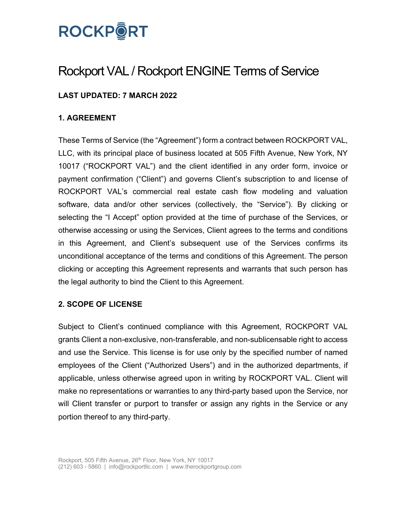

# Rockport VAL / Rockport ENGINE Terms of Service

# **LAST UPDATED: 7 MARCH 2022**

## **1. AGREEMENT**

These Terms of Service (the "Agreement") form a contract between ROCKPORT VAL, LLC, with its principal place of business located at 505 Fifth Avenue, New York, NY 10017 ("ROCKPORT VAL") and the client identified in any order form, invoice or payment confirmation ("Client") and governs Client's subscription to and license of ROCKPORT VAL's commercial real estate cash flow modeling and valuation software, data and/or other services (collectively, the "Service"). By clicking or selecting the "I Accept" option provided at the time of purchase of the Services, or otherwise accessing or using the Services, Client agrees to the terms and conditions in this Agreement, and Client's subsequent use of the Services confirms its unconditional acceptance of the terms and conditions of this Agreement. The person clicking or accepting this Agreement represents and warrants that such person has the legal authority to bind the Client to this Agreement.

#### **2. SCOPE OF LICENSE**

Subject to Client's continued compliance with this Agreement, ROCKPORT VAL grants Client a non-exclusive, non-transferable, and non-sublicensable right to access and use the Service. This license is for use only by the specified number of named employees of the Client ("Authorized Users") and in the authorized departments, if applicable, unless otherwise agreed upon in writing by ROCKPORT VAL. Client will make no representations or warranties to any third-party based upon the Service, nor will Client transfer or purport to transfer or assign any rights in the Service or any portion thereof to any third-party.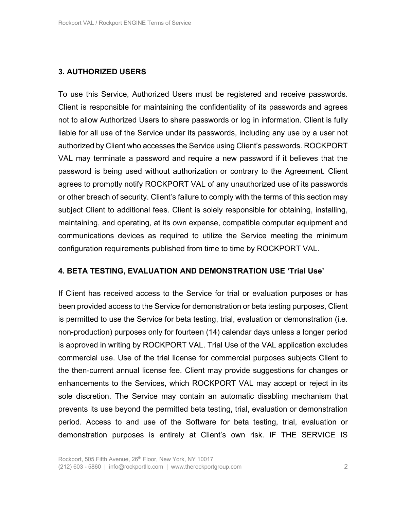## **3. AUTHORIZED USERS**

To use this Service, Authorized Users must be registered and receive passwords. Client is responsible for maintaining the confidentiality of its passwords and agrees not to allow Authorized Users to share passwords or log in information. Client is fully liable for all use of the Service under its passwords, including any use by a user not authorized by Client who accesses the Service using Client's passwords. ROCKPORT VAL may terminate a password and require a new password if it believes that the password is being used without authorization or contrary to the Agreement. Client agrees to promptly notify ROCKPORT VAL of any unauthorized use of its passwords or other breach of security. Client's failure to comply with the terms of this section may subject Client to additional fees. Client is solely responsible for obtaining, installing, maintaining, and operating, at its own expense, compatible computer equipment and communications devices as required to utilize the Service meeting the minimum configuration requirements published from time to time by ROCKPORT VAL.

#### **4. BETA TESTING, EVALUATION AND DEMONSTRATION USE 'Trial Use'**

If Client has received access to the Service for trial or evaluation purposes or has been provided access to the Service for demonstration or beta testing purposes, Client is permitted to use the Service for beta testing, trial, evaluation or demonstration (i.e. non-production) purposes only for fourteen (14) calendar days unless a longer period is approved in writing by ROCKPORT VAL. Trial Use of the VAL application excludes commercial use. Use of the trial license for commercial purposes subjects Client to the then-current annual license fee. Client may provide suggestions for changes or enhancements to the Services, which ROCKPORT VAL may accept or reject in its sole discretion. The Service may contain an automatic disabling mechanism that prevents its use beyond the permitted beta testing, trial, evaluation or demonstration period. Access to and use of the Software for beta testing, trial, evaluation or demonstration purposes is entirely at Client's own risk. IF THE SERVICE IS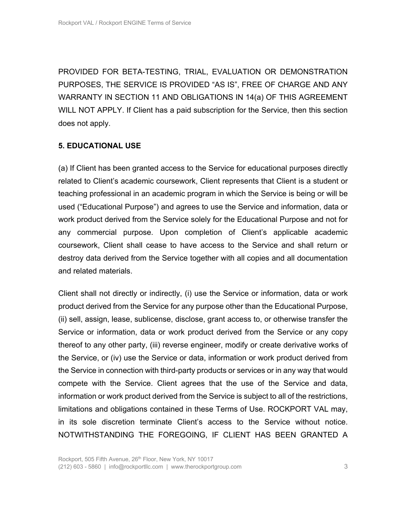PROVIDED FOR BETA-TESTING, TRIAL, EVALUATION OR DEMONSTRATION PURPOSES, THE SERVICE IS PROVIDED "AS IS", FREE OF CHARGE AND ANY WARRANTY IN SECTION 11 AND OBLIGATIONS IN 14(a) OF THIS AGREEMENT WILL NOT APPLY. If Client has a paid subscription for the Service, then this section does not apply.

## **5. EDUCATIONAL USE**

(a) If Client has been granted access to the Service for educational purposes directly related to Client's academic coursework, Client represents that Client is a student or teaching professional in an academic program in which the Service is being or will be used ("Educational Purpose") and agrees to use the Service and information, data or work product derived from the Service solely for the Educational Purpose and not for any commercial purpose. Upon completion of Client's applicable academic coursework, Client shall cease to have access to the Service and shall return or destroy data derived from the Service together with all copies and all documentation and related materials.

Client shall not directly or indirectly, (i) use the Service or information, data or work product derived from the Service for any purpose other than the Educational Purpose, (ii) sell, assign, lease, sublicense, disclose, grant access to, or otherwise transfer the Service or information, data or work product derived from the Service or any copy thereof to any other party, (iii) reverse engineer, modify or create derivative works of the Service, or (iv) use the Service or data, information or work product derived from the Service in connection with third-party products or services or in any way that would compete with the Service. Client agrees that the use of the Service and data, information or work product derived from the Service is subject to all of the restrictions, limitations and obligations contained in these Terms of Use. ROCKPORT VAL may, in its sole discretion terminate Client's access to the Service without notice. NOTWITHSTANDING THE FOREGOING, IF CLIENT HAS BEEN GRANTED A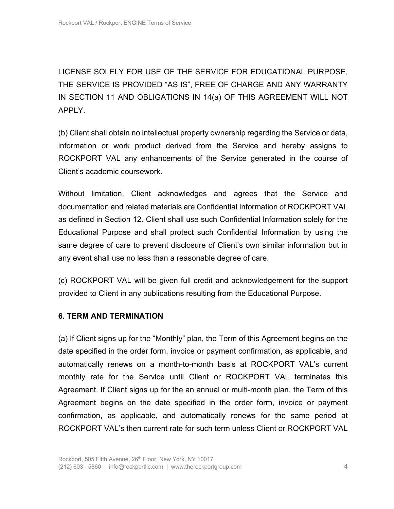LICENSE SOLELY FOR USE OF THE SERVICE FOR EDUCATIONAL PURPOSE, THE SERVICE IS PROVIDED "AS IS", FREE OF CHARGE AND ANY WARRANTY IN SECTION 11 AND OBLIGATIONS IN 14(a) OF THIS AGREEMENT WILL NOT APPLY.

(b) Client shall obtain no intellectual property ownership regarding the Service or data, information or work product derived from the Service and hereby assigns to ROCKPORT VAL any enhancements of the Service generated in the course of Client's academic coursework.

Without limitation, Client acknowledges and agrees that the Service and documentation and related materials are Confidential Information of ROCKPORT VAL as defined in Section 12. Client shall use such Confidential Information solely for the Educational Purpose and shall protect such Confidential Information by using the same degree of care to prevent disclosure of Client's own similar information but in any event shall use no less than a reasonable degree of care.

(c) ROCKPORT VAL will be given full credit and acknowledgement for the support provided to Client in any publications resulting from the Educational Purpose.

# **6. TERM AND TERMINATION**

(a) If Client signs up for the "Monthly" plan, the Term of this Agreement begins on the date specified in the order form, invoice or payment confirmation, as applicable, and automatically renews on a month-to-month basis at ROCKPORT VAL's current monthly rate for the Service until Client or ROCKPORT VAL terminates this Agreement. If Client signs up for the an annual or multi-month plan, the Term of this Agreement begins on the date specified in the order form, invoice or payment confirmation, as applicable, and automatically renews for the same period at ROCKPORT VAL's then current rate for such term unless Client or ROCKPORT VAL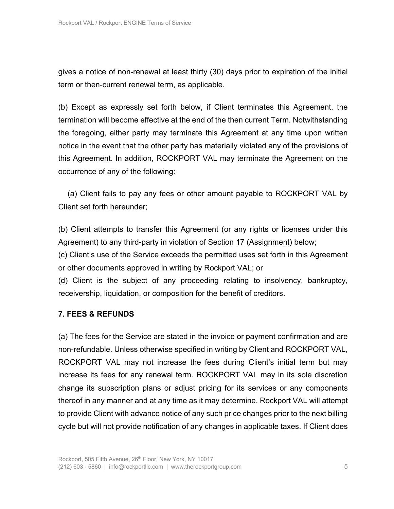gives a notice of non-renewal at least thirty (30) days prior to expiration of the initial term or then-current renewal term, as applicable.

(b) Except as expressly set forth below, if Client terminates this Agreement, the termination will become effective at the end of the then current Term. Notwithstanding the foregoing, either party may terminate this Agreement at any time upon written notice in the event that the other party has materially violated any of the provisions of this Agreement. In addition, ROCKPORT VAL may terminate the Agreement on the occurrence of any of the following:

 (a) Client fails to pay any fees or other amount payable to ROCKPORT VAL by Client set forth hereunder;

(b) Client attempts to transfer this Agreement (or any rights or licenses under this Agreement) to any third-party in violation of Section 17 (Assignment) below;

(c) Client's use of the Service exceeds the permitted uses set forth in this Agreement or other documents approved in writing by Rockport VAL; or

(d) Client is the subject of any proceeding relating to insolvency, bankruptcy, receivership, liquidation, or composition for the benefit of creditors.

# **7. FEES & REFUNDS**

(a) The fees for the Service are stated in the invoice or payment confirmation and are non-refundable. Unless otherwise specified in writing by Client and ROCKPORT VAL, ROCKPORT VAL may not increase the fees during Client's initial term but may increase its fees for any renewal term. ROCKPORT VAL may in its sole discretion change its subscription plans or adjust pricing for its services or any components thereof in any manner and at any time as it may determine. Rockport VAL will attempt to provide Client with advance notice of any such price changes prior to the next billing cycle but will not provide notification of any changes in applicable taxes. If Client does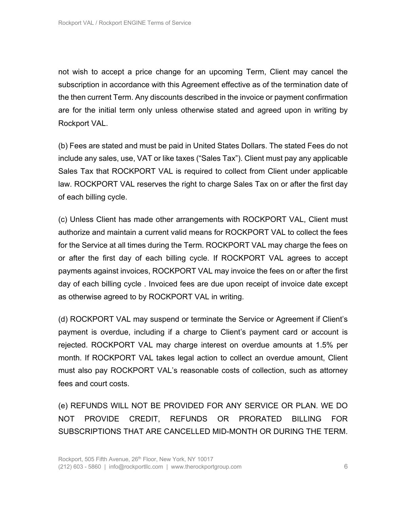not wish to accept a price change for an upcoming Term, Client may cancel the subscription in accordance with this Agreement effective as of the termination date of the then current Term. Any discounts described in the invoice or payment confirmation are for the initial term only unless otherwise stated and agreed upon in writing by Rockport VAL.

(b) Fees are stated and must be paid in United States Dollars. The stated Fees do not include any sales, use, VAT or like taxes ("Sales Tax"). Client must pay any applicable Sales Tax that ROCKPORT VAL is required to collect from Client under applicable law. ROCKPORT VAL reserves the right to charge Sales Tax on or after the first day of each billing cycle.

(c) Unless Client has made other arrangements with ROCKPORT VAL, Client must authorize and maintain a current valid means for ROCKPORT VAL to collect the fees for the Service at all times during the Term. ROCKPORT VAL may charge the fees on or after the first day of each billing cycle. If ROCKPORT VAL agrees to accept payments against invoices, ROCKPORT VAL may invoice the fees on or after the first day of each billing cycle . Invoiced fees are due upon receipt of invoice date except as otherwise agreed to by ROCKPORT VAL in writing.

(d) ROCKPORT VAL may suspend or terminate the Service or Agreement if Client's payment is overdue, including if a charge to Client's payment card or account is rejected. ROCKPORT VAL may charge interest on overdue amounts at 1.5% per month. If ROCKPORT VAL takes legal action to collect an overdue amount, Client must also pay ROCKPORT VAL's reasonable costs of collection, such as attorney fees and court costs.

(e) REFUNDS WILL NOT BE PROVIDED FOR ANY SERVICE OR PLAN. WE DO NOT PROVIDE CREDIT, REFUNDS OR PRORATED BILLING FOR SUBSCRIPTIONS THAT ARE CANCELLED MID-MONTH OR DURING THE TERM.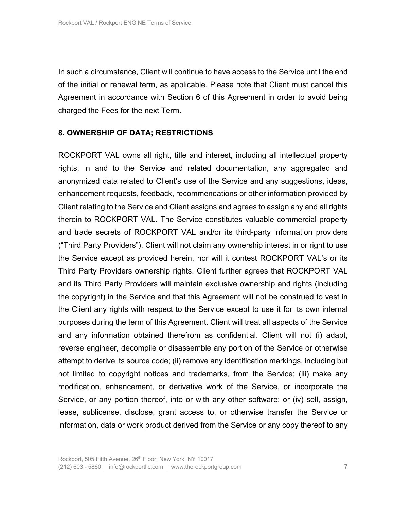In such a circumstance, Client will continue to have access to the Service until the end of the initial or renewal term, as applicable. Please note that Client must cancel this Agreement in accordance with Section 6 of this Agreement in order to avoid being charged the Fees for the next Term.

#### **8. OWNERSHIP OF DATA; RESTRICTIONS**

ROCKPORT VAL owns all right, title and interest, including all intellectual property rights, in and to the Service and related documentation, any aggregated and anonymized data related to Client's use of the Service and any suggestions, ideas, enhancement requests, feedback, recommendations or other information provided by Client relating to the Service and Client assigns and agrees to assign any and all rights therein to ROCKPORT VAL. The Service constitutes valuable commercial property and trade secrets of ROCKPORT VAL and/or its third-party information providers ("Third Party Providers"). Client will not claim any ownership interest in or right to use the Service except as provided herein, nor will it contest ROCKPORT VAL's or its Third Party Providers ownership rights. Client further agrees that ROCKPORT VAL and its Third Party Providers will maintain exclusive ownership and rights (including the copyright) in the Service and that this Agreement will not be construed to vest in the Client any rights with respect to the Service except to use it for its own internal purposes during the term of this Agreement. Client will treat all aspects of the Service and any information obtained therefrom as confidential. Client will not (i) adapt, reverse engineer, decompile or disassemble any portion of the Service or otherwise attempt to derive its source code; (ii) remove any identification markings, including but not limited to copyright notices and trademarks, from the Service; (iii) make any modification, enhancement, or derivative work of the Service, or incorporate the Service, or any portion thereof, into or with any other software; or (iv) sell, assign, lease, sublicense, disclose, grant access to, or otherwise transfer the Service or information, data or work product derived from the Service or any copy thereof to any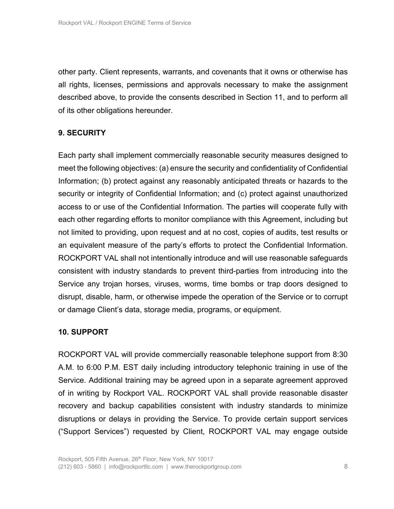other party. Client represents, warrants, and covenants that it owns or otherwise has all rights, licenses, permissions and approvals necessary to make the assignment described above, to provide the consents described in Section 11, and to perform all of its other obligations hereunder.

# **9. SECURITY**

Each party shall implement commercially reasonable security measures designed to meet the following objectives: (a) ensure the security and confidentiality of Confidential Information; (b) protect against any reasonably anticipated threats or hazards to the security or integrity of Confidential Information; and (c) protect against unauthorized access to or use of the Confidential Information. The parties will cooperate fully with each other regarding efforts to monitor compliance with this Agreement, including but not limited to providing, upon request and at no cost, copies of audits, test results or an equivalent measure of the party's efforts to protect the Confidential Information. ROCKPORT VAL shall not intentionally introduce and will use reasonable safeguards consistent with industry standards to prevent third-parties from introducing into the Service any trojan horses, viruses, worms, time bombs or trap doors designed to disrupt, disable, harm, or otherwise impede the operation of the Service or to corrupt or damage Client's data, storage media, programs, or equipment.

# **10. SUPPORT**

ROCKPORT VAL will provide commercially reasonable telephone support from 8:30 A.M. to 6:00 P.M. EST daily including introductory telephonic training in use of the Service. Additional training may be agreed upon in a separate agreement approved of in writing by Rockport VAL. ROCKPORT VAL shall provide reasonable disaster recovery and backup capabilities consistent with industry standards to minimize disruptions or delays in providing the Service. To provide certain support services ("Support Services") requested by Client, ROCKPORT VAL may engage outside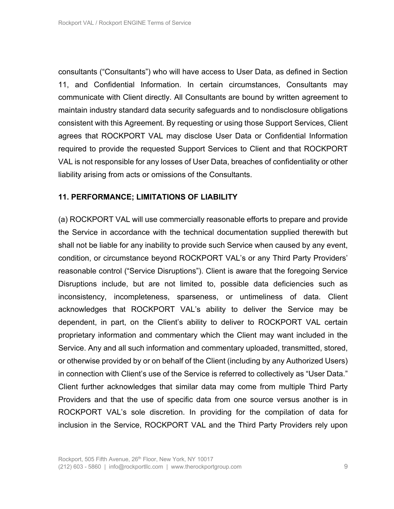consultants ("Consultants") who will have access to User Data, as defined in Section 11, and Confidential Information. In certain circumstances, Consultants may communicate with Client directly. All Consultants are bound by written agreement to maintain industry standard data security safeguards and to nondisclosure obligations consistent with this Agreement. By requesting or using those Support Services, Client agrees that ROCKPORT VAL may disclose User Data or Confidential Information required to provide the requested Support Services to Client and that ROCKPORT VAL is not responsible for any losses of User Data, breaches of confidentiality or other liability arising from acts or omissions of the Consultants.

## **11. PERFORMANCE; LIMITATIONS OF LIABILITY**

(a) ROCKPORT VAL will use commercially reasonable efforts to prepare and provide the Service in accordance with the technical documentation supplied therewith but shall not be liable for any inability to provide such Service when caused by any event, condition, or circumstance beyond ROCKPORT VAL's or any Third Party Providers' reasonable control ("Service Disruptions"). Client is aware that the foregoing Service Disruptions include, but are not limited to, possible data deficiencies such as inconsistency, incompleteness, sparseness, or untimeliness of data. Client acknowledges that ROCKPORT VAL's ability to deliver the Service may be dependent, in part, on the Client's ability to deliver to ROCKPORT VAL certain proprietary information and commentary which the Client may want included in the Service. Any and all such information and commentary uploaded, transmitted, stored, or otherwise provided by or on behalf of the Client (including by any Authorized Users) in connection with Client's use of the Service is referred to collectively as "User Data." Client further acknowledges that similar data may come from multiple Third Party Providers and that the use of specific data from one source versus another is in ROCKPORT VAL's sole discretion. In providing for the compilation of data for inclusion in the Service, ROCKPORT VAL and the Third Party Providers rely upon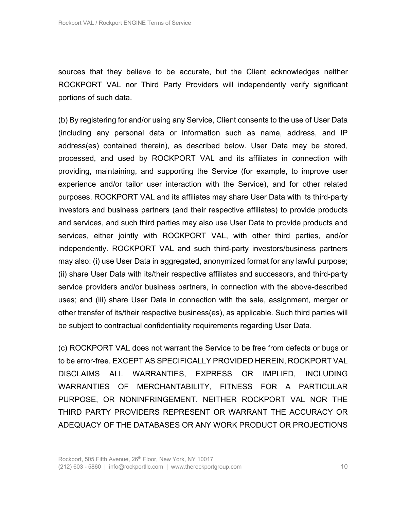sources that they believe to be accurate, but the Client acknowledges neither ROCKPORT VAL nor Third Party Providers will independently verify significant portions of such data.

(b) By registering for and/or using any Service, Client consents to the use of User Data (including any personal data or information such as name, address, and IP address(es) contained therein), as described below. User Data may be stored, processed, and used by ROCKPORT VAL and its affiliates in connection with providing, maintaining, and supporting the Service (for example, to improve user experience and/or tailor user interaction with the Service), and for other related purposes. ROCKPORT VAL and its affiliates may share User Data with its third-party investors and business partners (and their respective affiliates) to provide products and services, and such third parties may also use User Data to provide products and services, either jointly with ROCKPORT VAL, with other third parties, and/or independently. ROCKPORT VAL and such third-party investors/business partners may also: (i) use User Data in aggregated, anonymized format for any lawful purpose; (ii) share User Data with its/their respective affiliates and successors, and third-party service providers and/or business partners, in connection with the above-described uses; and (iii) share User Data in connection with the sale, assignment, merger or other transfer of its/their respective business(es), as applicable. Such third parties will be subject to contractual confidentiality requirements regarding User Data.

(c) ROCKPORT VAL does not warrant the Service to be free from defects or bugs or to be error-free. EXCEPT AS SPECIFICALLY PROVIDED HEREIN, ROCKPORT VAL DISCLAIMS ALL WARRANTIES, EXPRESS OR IMPLIED, INCLUDING WARRANTIES OF MERCHANTABILITY, FITNESS FOR A PARTICULAR PURPOSE, OR NONINFRINGEMENT. NEITHER ROCKPORT VAL NOR THE THIRD PARTY PROVIDERS REPRESENT OR WARRANT THE ACCURACY OR ADEQUACY OF THE DATABASES OR ANY WORK PRODUCT OR PROJECTIONS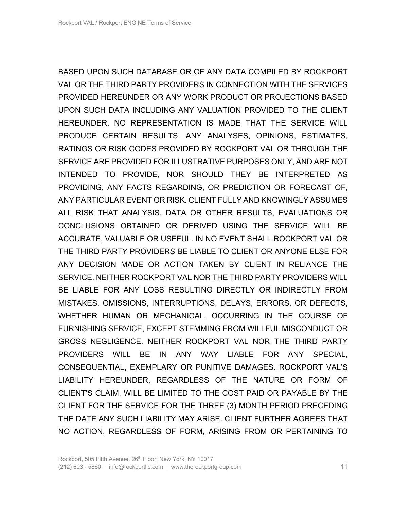BASED UPON SUCH DATABASE OR OF ANY DATA COMPILED BY ROCKPORT VAL OR THE THIRD PARTY PROVIDERS IN CONNECTION WITH THE SERVICES PROVIDED HEREUNDER OR ANY WORK PRODUCT OR PROJECTIONS BASED UPON SUCH DATA INCLUDING ANY VALUATION PROVIDED TO THE CLIENT HEREUNDER. NO REPRESENTATION IS MADE THAT THE SERVICE WILL PRODUCE CERTAIN RESULTS. ANY ANALYSES, OPINIONS, ESTIMATES, RATINGS OR RISK CODES PROVIDED BY ROCKPORT VAL OR THROUGH THE SERVICE ARE PROVIDED FOR ILLUSTRATIVE PURPOSES ONLY, AND ARE NOT INTENDED TO PROVIDE, NOR SHOULD THEY BE INTERPRETED AS PROVIDING, ANY FACTS REGARDING, OR PREDICTION OR FORECAST OF, ANY PARTICULAR EVENT OR RISK. CLIENT FULLY AND KNOWINGLY ASSUMES ALL RISK THAT ANALYSIS, DATA OR OTHER RESULTS, EVALUATIONS OR CONCLUSIONS OBTAINED OR DERIVED USING THE SERVICE WILL BE ACCURATE, VALUABLE OR USEFUL. IN NO EVENT SHALL ROCKPORT VAL OR THE THIRD PARTY PROVIDERS BE LIABLE TO CLIENT OR ANYONE ELSE FOR ANY DECISION MADE OR ACTION TAKEN BY CLIENT IN RELIANCE THE SERVICE. NEITHER ROCKPORT VAL NOR THE THIRD PARTY PROVIDERS WILL BE LIABLE FOR ANY LOSS RESULTING DIRECTLY OR INDIRECTLY FROM MISTAKES, OMISSIONS, INTERRUPTIONS, DELAYS, ERRORS, OR DEFECTS, WHETHER HUMAN OR MECHANICAL, OCCURRING IN THE COURSE OF FURNISHING SERVICE, EXCEPT STEMMING FROM WILLFUL MISCONDUCT OR GROSS NEGLIGENCE. NEITHER ROCKPORT VAL NOR THE THIRD PARTY PROVIDERS WILL BE IN ANY WAY LIABLE FOR ANY SPECIAL, CONSEQUENTIAL, EXEMPLARY OR PUNITIVE DAMAGES. ROCKPORT VAL'S LIABILITY HEREUNDER, REGARDLESS OF THE NATURE OR FORM OF CLIENT'S CLAIM, WILL BE LIMITED TO THE COST PAID OR PAYABLE BY THE CLIENT FOR THE SERVICE FOR THE THREE (3) MONTH PERIOD PRECEDING THE DATE ANY SUCH LIABILITY MAY ARISE. CLIENT FURTHER AGREES THAT NO ACTION, REGARDLESS OF FORM, ARISING FROM OR PERTAINING TO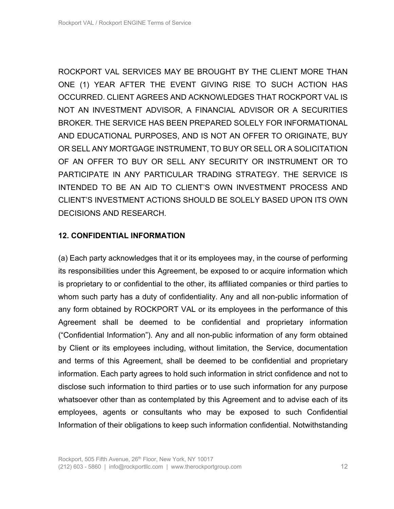ROCKPORT VAL SERVICES MAY BE BROUGHT BY THE CLIENT MORE THAN ONE (1) YEAR AFTER THE EVENT GIVING RISE TO SUCH ACTION HAS OCCURRED. CLIENT AGREES AND ACKNOWLEDGES THAT ROCKPORT VAL IS NOT AN INVESTMENT ADVISOR, A FINANCIAL ADVISOR OR A SECURITIES BROKER. THE SERVICE HAS BEEN PREPARED SOLELY FOR INFORMATIONAL AND EDUCATIONAL PURPOSES, AND IS NOT AN OFFER TO ORIGINATE, BUY OR SELL ANY MORTGAGE INSTRUMENT, TO BUY OR SELL OR A SOLICITATION OF AN OFFER TO BUY OR SELL ANY SECURITY OR INSTRUMENT OR TO PARTICIPATE IN ANY PARTICULAR TRADING STRATEGY. THE SERVICE IS INTENDED TO BE AN AID TO CLIENT'S OWN INVESTMENT PROCESS AND CLIENT'S INVESTMENT ACTIONS SHOULD BE SOLELY BASED UPON ITS OWN DECISIONS AND RESEARCH.

#### **12. CONFIDENTIAL INFORMATION**

(a) Each party acknowledges that it or its employees may, in the course of performing its responsibilities under this Agreement, be exposed to or acquire information which is proprietary to or confidential to the other, its affiliated companies or third parties to whom such party has a duty of confidentiality. Any and all non-public information of any form obtained by ROCKPORT VAL or its employees in the performance of this Agreement shall be deemed to be confidential and proprietary information ("Confidential Information"). Any and all non-public information of any form obtained by Client or its employees including, without limitation, the Service, documentation and terms of this Agreement, shall be deemed to be confidential and proprietary information. Each party agrees to hold such information in strict confidence and not to disclose such information to third parties or to use such information for any purpose whatsoever other than as contemplated by this Agreement and to advise each of its employees, agents or consultants who may be exposed to such Confidential Information of their obligations to keep such information confidential. Notwithstanding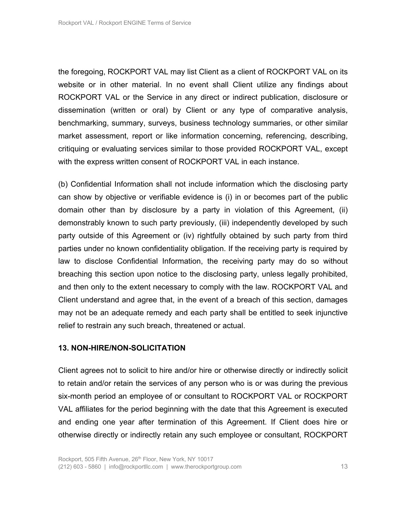the foregoing, ROCKPORT VAL may list Client as a client of ROCKPORT VAL on its website or in other material. In no event shall Client utilize any findings about ROCKPORT VAL or the Service in any direct or indirect publication, disclosure or dissemination (written or oral) by Client or any type of comparative analysis, benchmarking, summary, surveys, business technology summaries, or other similar market assessment, report or like information concerning, referencing, describing, critiquing or evaluating services similar to those provided ROCKPORT VAL, except with the express written consent of ROCKPORT VAL in each instance.

(b) Confidential Information shall not include information which the disclosing party can show by objective or verifiable evidence is (i) in or becomes part of the public domain other than by disclosure by a party in violation of this Agreement, (ii) demonstrably known to such party previously, (iii) independently developed by such party outside of this Agreement or (iv) rightfully obtained by such party from third parties under no known confidentiality obligation. If the receiving party is required by law to disclose Confidential Information, the receiving party may do so without breaching this section upon notice to the disclosing party, unless legally prohibited, and then only to the extent necessary to comply with the law. ROCKPORT VAL and Client understand and agree that, in the event of a breach of this section, damages may not be an adequate remedy and each party shall be entitled to seek injunctive relief to restrain any such breach, threatened or actual.

#### **13. NON-HIRE/NON-SOLICITATION**

Client agrees not to solicit to hire and/or hire or otherwise directly or indirectly solicit to retain and/or retain the services of any person who is or was during the previous six-month period an employee of or consultant to ROCKPORT VAL or ROCKPORT VAL affiliates for the period beginning with the date that this Agreement is executed and ending one year after termination of this Agreement. If Client does hire or otherwise directly or indirectly retain any such employee or consultant, ROCKPORT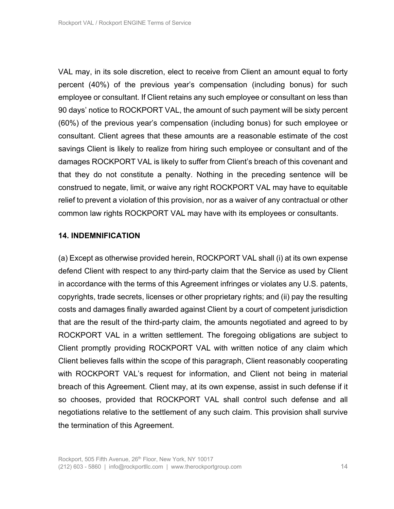VAL may, in its sole discretion, elect to receive from Client an amount equal to forty percent (40%) of the previous year's compensation (including bonus) for such employee or consultant. If Client retains any such employee or consultant on less than 90 days' notice to ROCKPORT VAL, the amount of such payment will be sixty percent (60%) of the previous year's compensation (including bonus) for such employee or consultant. Client agrees that these amounts are a reasonable estimate of the cost savings Client is likely to realize from hiring such employee or consultant and of the damages ROCKPORT VAL is likely to suffer from Client's breach of this covenant and that they do not constitute a penalty. Nothing in the preceding sentence will be construed to negate, limit, or waive any right ROCKPORT VAL may have to equitable relief to prevent a violation of this provision, nor as a waiver of any contractual or other common law rights ROCKPORT VAL may have with its employees or consultants.

#### **14. INDEMNIFICATION**

(a) Except as otherwise provided herein, ROCKPORT VAL shall (i) at its own expense defend Client with respect to any third-party claim that the Service as used by Client in accordance with the terms of this Agreement infringes or violates any U.S. patents, copyrights, trade secrets, licenses or other proprietary rights; and (ii) pay the resulting costs and damages finally awarded against Client by a court of competent jurisdiction that are the result of the third-party claim, the amounts negotiated and agreed to by ROCKPORT VAL in a written settlement. The foregoing obligations are subject to Client promptly providing ROCKPORT VAL with written notice of any claim which Client believes falls within the scope of this paragraph, Client reasonably cooperating with ROCKPORT VAL's request for information, and Client not being in material breach of this Agreement. Client may, at its own expense, assist in such defense if it so chooses, provided that ROCKPORT VAL shall control such defense and all negotiations relative to the settlement of any such claim. This provision shall survive the termination of this Agreement.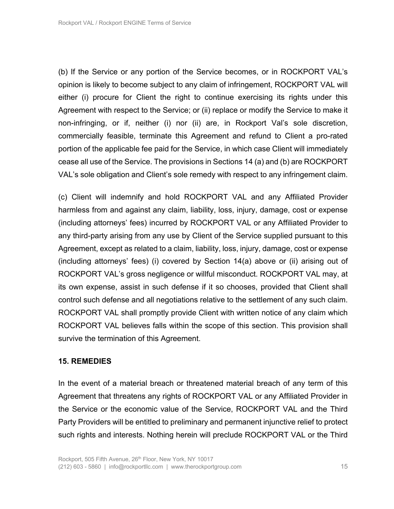(b) If the Service or any portion of the Service becomes, or in ROCKPORT VAL's opinion is likely to become subject to any claim of infringement, ROCKPORT VAL will either (i) procure for Client the right to continue exercising its rights under this Agreement with respect to the Service; or (ii) replace or modify the Service to make it non-infringing, or if, neither (i) nor (ii) are, in Rockport Val's sole discretion, commercially feasible, terminate this Agreement and refund to Client a pro-rated portion of the applicable fee paid for the Service, in which case Client will immediately cease all use of the Service. The provisions in Sections 14 (a) and (b) are ROCKPORT VAL's sole obligation and Client's sole remedy with respect to any infringement claim.

(c) Client will indemnify and hold ROCKPORT VAL and any Affiliated Provider harmless from and against any claim, liability, loss, injury, damage, cost or expense (including attorneys' fees) incurred by ROCKPORT VAL or any Affiliated Provider to any third-party arising from any use by Client of the Service supplied pursuant to this Agreement, except as related to a claim, liability, loss, injury, damage, cost or expense (including attorneys' fees) (i) covered by Section 14(a) above or (ii) arising out of ROCKPORT VAL's gross negligence or willful misconduct. ROCKPORT VAL may, at its own expense, assist in such defense if it so chooses, provided that Client shall control such defense and all negotiations relative to the settlement of any such claim. ROCKPORT VAL shall promptly provide Client with written notice of any claim which ROCKPORT VAL believes falls within the scope of this section. This provision shall survive the termination of this Agreement.

#### **15. REMEDIES**

In the event of a material breach or threatened material breach of any term of this Agreement that threatens any rights of ROCKPORT VAL or any Affiliated Provider in the Service or the economic value of the Service, ROCKPORT VAL and the Third Party Providers will be entitled to preliminary and permanent injunctive relief to protect such rights and interests. Nothing herein will preclude ROCKPORT VAL or the Third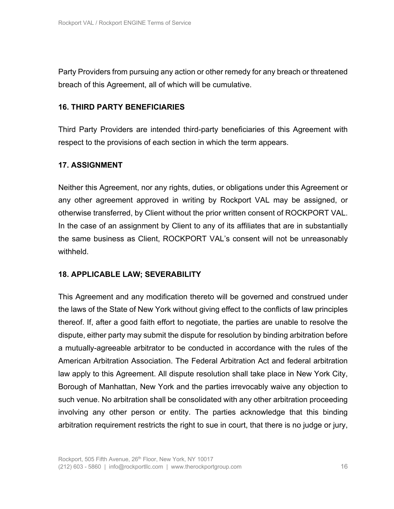Party Providers from pursuing any action or other remedy for any breach or threatened breach of this Agreement, all of which will be cumulative.

## **16. THIRD PARTY BENEFICIARIES**

Third Party Providers are intended third-party beneficiaries of this Agreement with respect to the provisions of each section in which the term appears.

## **17. ASSIGNMENT**

Neither this Agreement, nor any rights, duties, or obligations under this Agreement or any other agreement approved in writing by Rockport VAL may be assigned, or otherwise transferred, by Client without the prior written consent of ROCKPORT VAL. In the case of an assignment by Client to any of its affiliates that are in substantially the same business as Client, ROCKPORT VAL's consent will not be unreasonably withheld.

#### **18. APPLICABLE LAW; SEVERABILITY**

This Agreement and any modification thereto will be governed and construed under the laws of the State of New York without giving effect to the conflicts of law principles thereof. If, after a good faith effort to negotiate, the parties are unable to resolve the dispute, either party may submit the dispute for resolution by binding arbitration before a mutually-agreeable arbitrator to be conducted in accordance with the rules of the American Arbitration Association. The Federal Arbitration Act and federal arbitration law apply to this Agreement. All dispute resolution shall take place in New York City, Borough of Manhattan, New York and the parties irrevocably waive any objection to such venue. No arbitration shall be consolidated with any other arbitration proceeding involving any other person or entity. The parties acknowledge that this binding arbitration requirement restricts the right to sue in court, that there is no judge or jury,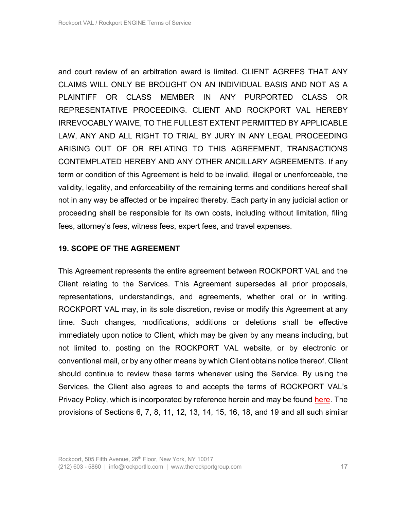and court review of an arbitration award is limited. CLIENT AGREES THAT ANY CLAIMS WILL ONLY BE BROUGHT ON AN INDIVIDUAL BASIS AND NOT AS A PLAINTIFF OR CLASS MEMBER IN ANY PURPORTED CLASS OR REPRESENTATIVE PROCEEDING. CLIENT AND ROCKPORT VAL HEREBY IRREVOCABLY WAIVE, TO THE FULLEST EXTENT PERMITTED BY APPLICABLE LAW, ANY AND ALL RIGHT TO TRIAL BY JURY IN ANY LEGAL PROCEEDING ARISING OUT OF OR RELATING TO THIS AGREEMENT, TRANSACTIONS CONTEMPLATED HEREBY AND ANY OTHER ANCILLARY AGREEMENTS. If any term or condition of this Agreement is held to be invalid, illegal or unenforceable, the validity, legality, and enforceability of the remaining terms and conditions hereof shall not in any way be affected or be impaired thereby. Each party in any judicial action or proceeding shall be responsible for its own costs, including without limitation, filing fees, attorney's fees, witness fees, expert fees, and travel expenses.

#### **19. SCOPE OF THE AGREEMENT**

This Agreement represents the entire agreement between ROCKPORT VAL and the Client relating to the Services. This Agreement supersedes all prior proposals, representations, understandings, and agreements, whether oral or in writing. ROCKPORT VAL may, in its sole discretion, revise or modify this Agreement at any time. Such changes, modifications, additions or deletions shall be effective immediately upon notice to Client, which may be given by any means including, but not limited to, posting on the ROCKPORT VAL website, or by electronic or conventional mail, or by any other means by which Client obtains notice thereof. Client should continue to review these terms whenever using the Service. By using the Services, the Client also agrees to and accepts the terms of ROCKPORT VAL's Privacy Policy, which is incorporated by reference herein and may be found here. The provisions of Sections 6, 7, 8, 11, 12, 13, 14, 15, 16, 18, and 19 and all such similar